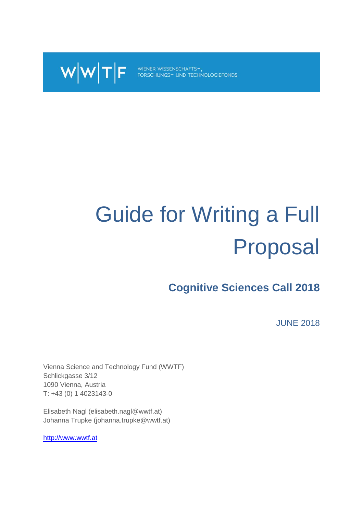

WIENER WISSENSCHAFTS-,<br>FORSCHUNGS- UND TECHNOLOGIEFONDS

# Guide for Writing a Full Proposal

**Cognitive Sciences Call 2018**

JUNE 2018

Vienna Science and Technology Fund (WWTF) Schlickgasse 3/12 1090 Vienna, Austria T: +43 (0) 1 4023143-0

Elisabeth Nagl (elisabeth.nagl@wwtf.at) Johanna Trupke (johanna.trupke@wwtf.at)

[http://www.wwtf.at](http://www.wwtf.at/)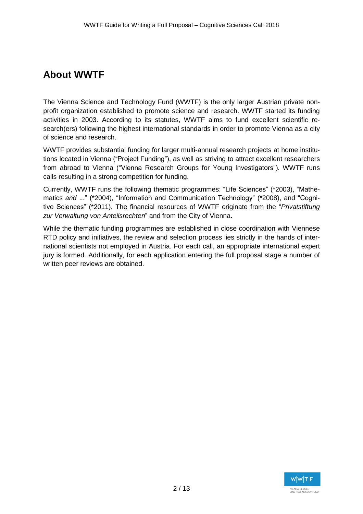# **About WWTF**

The Vienna Science and Technology Fund (WWTF) is the only larger Austrian private nonprofit organization established to promote science and research. WWTF started its funding activities in 2003. According to its statutes, WWTF aims to fund excellent scientific research(ers) following the highest international standards in order to promote Vienna as a city of science and research.

WWTF provides substantial funding for larger multi-annual research projects at home institutions located in Vienna ("Project Funding"), as well as striving to attract excellent researchers from abroad to Vienna ("Vienna Research Groups for Young Investigators"). WWTF runs calls resulting in a strong competition for funding.

Currently, WWTF runs the following thematic programmes: "Life Sciences" (\*2003), "Mathematics *and* ..." (\*2004), "Information and Communication Technology" (\*2008), and "Cognitive Sciences" (\*2011). The financial resources of WWTF originate from the "*Privatstiftung zur Verwaltung von Anteilsrechten*" and from the City of Vienna.

While the thematic funding programmes are established in close coordination with Viennese RTD policy and initiatives, the review and selection process lies strictly in the hands of international scientists not employed in Austria. For each call, an appropriate international expert jury is formed. Additionally, for each application entering the full proposal stage a number of written peer reviews are obtained.

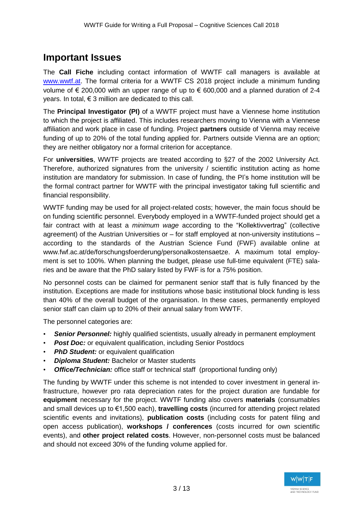## **Important Issues**

The **Call Fiche** including contact information of WWTF call managers is available at [www.wwtf.at.](http://www.wwtf.at/) The formal criteria for a WWTF CS 2018 project include a minimum funding volume of € 200,000 with an upper range of up to  $∈$  600,000 and a planned duration of 2-4 years. In total, € 3 million are dedicated to this call.

The **Principal Investigator (PI)** of a WWTF project must have a Viennese home institution to which the project is affiliated. This includes researchers moving to Vienna with a Viennese affiliation and work place in case of funding. Project **partners** outside of Vienna may receive funding of up to 20% of the total funding applied for. Partners outside Vienna are an option; they are neither obligatory nor a formal criterion for acceptance.

For **universities**, WWTF projects are treated according to §27 of the 2002 University Act. Therefore, authorized signatures from the university / scientific institution acting as home institution are mandatory for submission. In case of funding, the PI's home institution will be the formal contract partner for WWTF with the principal investigator taking full scientific and financial responsibility.

WWTF funding may be used for all project-related costs; however, the main focus should be on funding scientific personnel. Everybody employed in a WWTF-funded project should get a fair contract with at least a *minimum wage* according to the "Kollektivvertrag" (collective agreement) of the Austrian Universities or – for staff employed at non-university institutions – according to the standards of the Austrian Science Fund (FWF) available online at www.fwf.ac.at/de/forschungsfoerderung/personalkostensaetze. A maximum total employment is set to 100%. When planning the budget, please use full-time equivalent (FTE) salaries and be aware that the PhD salary listed by FWF is for a 75% position.

No personnel costs can be claimed for permanent senior staff that is fully financed by the institution. Exceptions are made for institutions whose basic institutional block funding is less than 40% of the overall budget of the organisation. In these cases, permanently employed senior staff can claim up to 20% of their annual salary from WWTF.

The personnel categories are:

- **Senior Personnel:** highly qualified scientists, usually already in permanent employment
- *Post Doc:* or equivalent qualification, including Senior Postdocs
- *PhD Student:* or equivalent qualification
- *Diploma Student:* Bachelor or Master students
- **Office/Technician:** office staff or technical staff (proportional funding only)

The funding by WWTF under this scheme is not intended to cover investment in general infrastructure, however pro rata depreciation rates for the project duration are fundable for **equipment** necessary for the project. WWTF funding also covers **materials** (consumables and small devices up to €1,500 each), **travelling costs** (incurred for attending project related scientific events and invitations), **publication costs** (including costs for patent filing and open access publication), **workshops / conferences** (costs incurred for own scientific events), and **other project related costs**. However, non-personnel costs must be balanced and should not exceed 30% of the funding volume applied for.

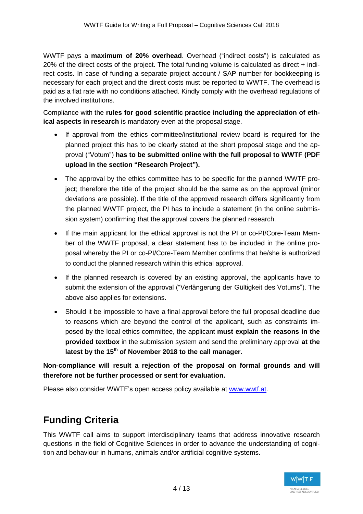WWTF pays a **maximum of 20% overhead**. Overhead ("indirect costs") is calculated as 20% of the direct costs of the project. The total funding volume is calculated as direct + indirect costs. In case of funding a separate project account / SAP number for bookkeeping is necessary for each project and the direct costs must be reported to WWTF. The overhead is paid as a flat rate with no conditions attached. Kindly comply with the overhead regulations of the involved institutions.

Compliance with the **rules for good scientific practice including the appreciation of ethical aspects in research** is mandatory even at the proposal stage.

- If approval from the ethics committee/institutional review board is required for the planned project this has to be clearly stated at the short proposal stage and the approval ("Votum") **has to be submitted online with the full proposal to WWTF (PDF upload in the section "Research Project").**
- The approval by the ethics committee has to be specific for the planned WWTF project; therefore the title of the project should be the same as on the approval (minor deviations are possible). If the title of the approved research differs significantly from the planned WWTF project, the PI has to include a statement (in the online submission system) confirming that the approval covers the planned research.
- If the main applicant for the ethical approval is not the PI or co-PI/Core-Team Member of the WWTF proposal, a clear statement has to be included in the online proposal whereby the PI or co-PI/Core-Team Member confirms that he/she is authorized to conduct the planned research within this ethical approval.
- If the planned research is covered by an existing approval, the applicants have to submit the extension of the approval ("Verlängerung der Gültigkeit des Votums"). The above also applies for extensions.
- Should it be impossible to have a final approval before the full proposal deadline due to reasons which are beyond the control of the applicant, such as constraints imposed by the local ethics committee, the applicant **must explain the reasons in the provided textbox** in the submission system and send the preliminary approval **at the latest by the 15th of November 2018 to the call manager**.

**Non-compliance will result a rejection of the proposal on formal grounds and will therefore not be further processed or sent for evaluation.**

Please also consider WWTF's open access policy available at [www.wwtf.at.](http://www.wwtf.at/)

# **Funding Criteria**

This WWTF call aims to support interdisciplinary teams that address innovative research questions in the field of Cognitive Sciences in order to advance the understanding of cognition and behaviour in humans, animals and/or artificial cognitive systems.

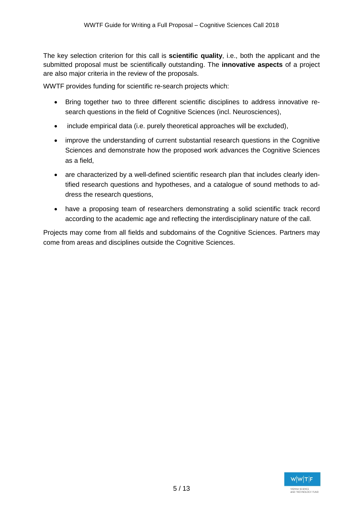The key selection criterion for this call is **scientific quality**, i.e., both the applicant and the submitted proposal must be scientifically outstanding. The **innovative aspects** of a project are also major criteria in the review of the proposals.

WWTF provides funding for scientific re-search projects which:

- Bring together two to three different scientific disciplines to address innovative research questions in the field of Cognitive Sciences (incl. Neurosciences),
- include empirical data (i.e. purely theoretical approaches will be excluded),
- improve the understanding of current substantial research questions in the Cognitive Sciences and demonstrate how the proposed work advances the Cognitive Sciences as a field,
- are characterized by a well-defined scientific research plan that includes clearly identified research questions and hypotheses, and a catalogue of sound methods to address the research questions,
- have a proposing team of researchers demonstrating a solid scientific track record according to the academic age and reflecting the interdisciplinary nature of the call.

Projects may come from all fields and subdomains of the Cognitive Sciences. Partners may come from areas and disciplines outside the Cognitive Sciences.

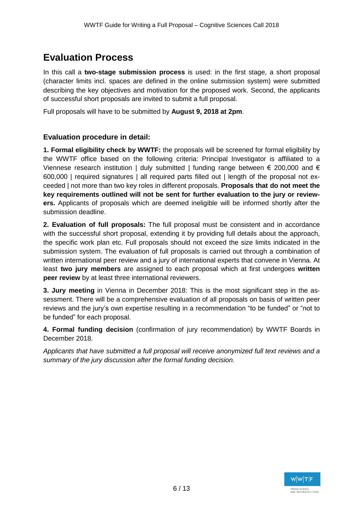# **Evaluation Process**

In this call a **two-stage submission process** is used: in the first stage, a short proposal (character limits incl. spaces are defined in the online submission system) were submitted describing the key objectives and motivation for the proposed work. Second, the applicants of successful short proposals are invited to submit a full proposal.

Full proposals will have to be submitted by **August 9, 2018 at 2pm**.

#### **Evaluation procedure in detail:**

**1. Formal eligibility check by WWTF:** the proposals will be screened for formal eligibility by the WWTF office based on the following criteria: Principal Investigator is affiliated to a Viennese research institution | duly submitted | funding range between  $\epsilon$  200,000 and  $\epsilon$ 600,000 | required signatures | all required parts filled out | length of the proposal not exceeded | not more than two key roles in different proposals. **Proposals that do not meet the key requirements outlined will not be sent for further evaluation to the jury or reviewers.** Applicants of proposals which are deemed ineligible will be informed shortly after the submission deadline.

**2. Evaluation of full proposals:** The full proposal must be consistent and in accordance with the successful short proposal, extending it by providing full details about the approach, the specific work plan etc. Full proposals should not exceed the size limits indicated in the submission system. The evaluation of full proposals is carried out through a combination of written international peer review and a jury of international experts that convene in Vienna. At least **two jury members** are assigned to each proposal which at first undergoes **written peer review** by at least three international reviewers.

**3. Jury meeting** in Vienna in December 2018: This is the most significant step in the assessment. There will be a comprehensive evaluation of all proposals on basis of written peer reviews and the jury's own expertise resulting in a recommendation "to be funded" or "not to be funded" for each proposal.

**4. Formal funding decision** (confirmation of jury recommendation) by WWTF Boards in December 2018.

*Applicants that have submitted a full proposal will receive anonymized full text reviews and a summary of the jury discussion after the formal funding decision.*

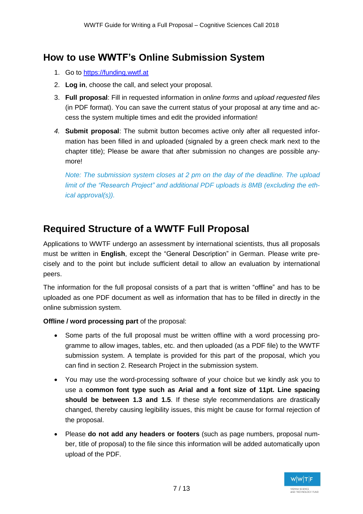## **How to use WWTF's Online Submission System**

- 1. Go to [https://funding.wwtf.at](https://funding.wwtf.at/)
- 2. **Log in**, choose the call, and select your proposal.
- 3. **Full proposal**: Fill in requested information in *online forms* and *upload requested files* (in PDF format). You can save the current status of your proposal at any time and access the system multiple times and edit the provided information!
- *4.* **Submit proposal**: The submit button becomes active only after all requested information has been filled in and uploaded (signaled by a green check mark next to the chapter title); Please be aware that after submission no changes are possible anymore!

*Note: The submission system closes at 2 pm on the day of the deadline. The upload limit of the "Research Project" and additional PDF uploads is 8MB (excluding the ethical approval(s)).*

## **Required Structure of a WWTF Full Proposal**

Applications to WWTF undergo an assessment by international scientists, thus all proposals must be written in **English**, except the "General Description" in German. Please write precisely and to the point but include sufficient detail to allow an evaluation by international peers.

The information for the full proposal consists of a part that is written "offline" and has to be uploaded as one PDF document as well as information that has to be filled in directly in the online submission system.

**Offline / word processing part** of the proposal:

- Some parts of the full proposal must be written offline with a word processing programme to allow images, tables, etc. and then uploaded (as a PDF file) to the WWTF submission system. A template is provided for this part of the proposal, which you can find in section 2. Research Project in the submission system.
- You may use the word-processing software of your choice but we kindly ask you to use a **common font type such as Arial and a font size of 11pt. Line spacing should be between 1.3 and 1.5**. If these style recommendations are drastically changed, thereby causing legibility issues, this might be cause for formal rejection of the proposal.
- Please **do not add any headers or footers** (such as page numbers, proposal number, title of proposal) to the file since this information will be added automatically upon upload of the PDF.

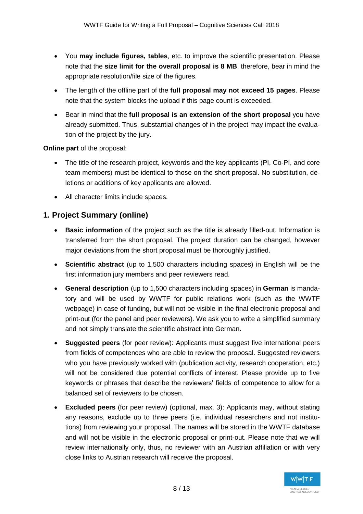- You **may include figures, tables**, etc. to improve the scientific presentation. Please note that the **size limit for the overall proposal is 8 MB**, therefore, bear in mind the appropriate resolution/file size of the figures.
- The length of the offline part of the **full proposal may not exceed 15 pages**. Please note that the system blocks the upload if this page count is exceeded.
- Bear in mind that the **full proposal is an extension of the short proposal** you have already submitted. Thus, substantial changes of in the project may impact the evaluation of the project by the jury.

**Online part** of the proposal:

- The title of the research project, keywords and the key applicants (PI, Co-PI, and core team members) must be identical to those on the short proposal. No substitution, deletions or additions of key applicants are allowed.
- All character limits include spaces.

## **1. Project Summary (online)**

- **Basic information** of the project such as the title is already filled-out. Information is transferred from the short proposal. The project duration can be changed, however major deviations from the short proposal must be thoroughly justified.
- **Scientific abstract** (up to 1,500 characters including spaces) in English will be the first information jury members and peer reviewers read.
- **General description** (up to 1,500 characters including spaces) in **German** is mandatory and will be used by WWTF for public relations work (such as the WWTF webpage) in case of funding, but will not be visible in the final electronic proposal and print-out (for the panel and peer reviewers). We ask you to write a simplified summary and not simply translate the scientific abstract into German.
- **Suggested peers** (for peer review): Applicants must suggest five international peers from fields of competences who are able to review the proposal. Suggested reviewers who you have previously worked with (publication activity, research cooperation, etc.) will not be considered due potential conflicts of interest. Please provide up to five keywords or phrases that describe the reviewers' fields of competence to allow for a balanced set of reviewers to be chosen.
- **Excluded peers** (for peer review) (optional, max. 3): Applicants may, without stating any reasons, exclude up to three peers (i.e. individual researchers and not institutions) from reviewing your proposal. The names will be stored in the WWTF database and will not be visible in the electronic proposal or print-out. Please note that we will review internationally only, thus, no reviewer with an Austrian affiliation or with very close links to Austrian research will receive the proposal.

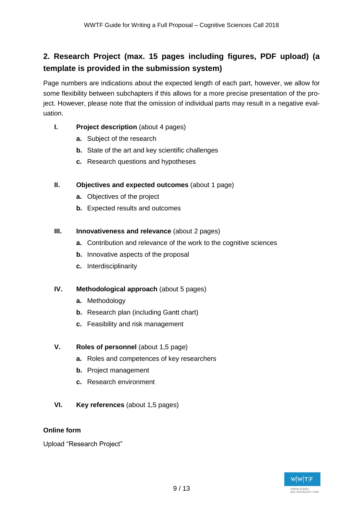## **2. Research Project (max. 15 pages including figures, PDF upload) (a template is provided in the submission system)**

Page numbers are indications about the expected length of each part, however, we allow for some flexibility between subchapters if this allows for a more precise presentation of the project. However, please note that the omission of individual parts may result in a negative evaluation.

#### **I. Project description** (about 4 pages)

- **a.** Subject of the research
- **b.** State of the art and key scientific challenges
- **c.** Research questions and hypotheses

#### **II. Objectives and expected outcomes** (about 1 page)

- **a.** Objectives of the project
- **b.** Expected results and outcomes

#### **III. Innovativeness and relevance** (about 2 pages)

- **a.** Contribution and relevance of the work to the cognitive sciences
- **b.** Innovative aspects of the proposal
- **c.** Interdisciplinarity

#### **IV. Methodological approach** (about 5 pages)

- **a.** Methodology
- **b.** Research plan (including Gantt chart)
- **c.** Feasibility and risk management

#### **V. Roles of personnel** (about 1,5 page)

- **a.** Roles and competences of key researchers
- **b.** Project management
- **c.** Research environment
- **VI. Key references** (about 1,5 pages)

#### **Online form**

Upload "Research Project"

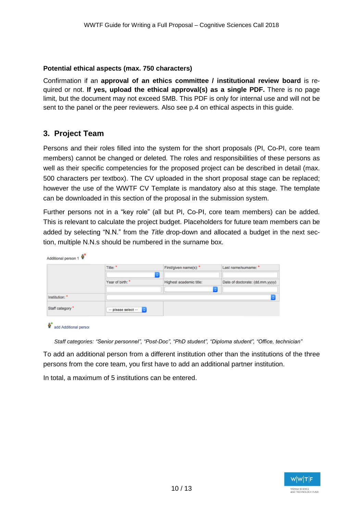#### **Potential ethical aspects (max. 750 characters)**

Confirmation if an **approval of an ethics committee / institutional review board** is required or not. **If yes, upload the ethical approval(s) as a single PDF.** There is no page limit, but the document may not exceed 5MB. This PDF is only for internal use and will not be sent to the panel or the peer reviewers. Also see p.4 on ethical aspects in this guide.

## **3. Project Team**

Persons and their roles filled into the system for the short proposals (PI, Co-PI, core team members) cannot be changed or deleted. The roles and responsibilities of these persons as well as their specific competencies for the proposed project can be described in detail (max. 500 characters per textbox). The CV uploaded in the short proposal stage can be replaced; however the use of the WWTF CV Template is mandatory also at this stage. The template can be downloaded in this section of the proposal in the submission system.

Further persons not in a "key role" (all but PI, Co-PI, core team members) can be added. This is relevant to calculate the project budget. Placeholders for future team members can be added by selecting "N.N." from the *Title* drop-down and allocated a budget in the next section, multiple N.N.s should be numbered in the surname box.

|                 | Title: *              | First/given name(s): *<br>٥ | Last name/sumame: *             |
|-----------------|-----------------------|-----------------------------|---------------------------------|
|                 | Year of birth: *      | Highest academic title:     | Date of doctorate: (dd.mm.yyyy) |
| Institution: *  |                       | $\ddot{\phantom{0}}$        |                                 |
| Staff category* | $-$ please select $-$ |                             |                                 |

add Additional person

*Staff categories: "Senior personnel", "Post-Doc", "PhD student", "Diploma student", "Office, technician"*

To add an additional person from a different institution other than the institutions of the three persons from the core team, you first have to add an additional partner institution.

In total, a maximum of 5 institutions can be entered.

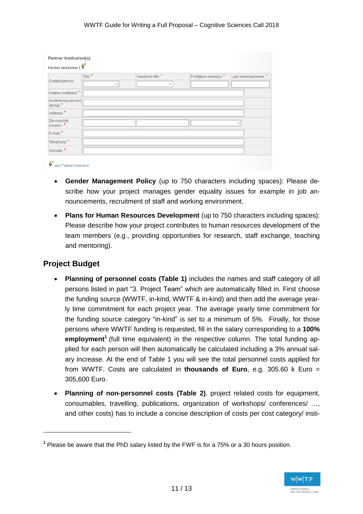| <b>Partner Institution(s)</b>     |              |                   |                       |                      |
|-----------------------------------|--------------|-------------------|-----------------------|----------------------|
| Partner Institution 1             |              |                   |                       |                      |
| Contact person:                   | Title: *     | Academic title: * | First/given name(s):* | Last name/surname: * |
|                                   | $\checkmark$ | $\checkmark$      |                       |                      |
| Partner institution: *            |              |                   |                       |                      |
| Institute/department<br>/group: * |              |                   |                       |                      |
| Address:*                         |              |                   |                       |                      |
| Zip code/city<br>/country: *      |              |                   |                       | $\checkmark$         |
| E-mail:*                          |              |                   |                       |                      |
| Telephone: *                      |              |                   |                       |                      |
| Website:*                         |              |                   |                       |                      |

- **Gender Management Policy** (up to 750 characters including spaces): Please describe how your project manages gender equality issues for example in job announcements, recruitment of staff and working environment.
- **Plans for Human Resources Development** (up to 750 characters including spaces): Please describe how your project contributes to human resources development of the team members (e.g., providing opportunities for research, staff exchange, teaching and mentoring).

### **Project Budget**

 $\overline{a}$ 

- **Planning of personnel costs (Table 1)** includes the names and staff category of all persons listed in part "3. Project Team" which are automatically filled in. First choose the funding source (WWTF, in-kind, WWTF & in-kind) and then add the average yearly time commitment for each project year. The average yearly time commitment for the funding source category "in-kind" is set to a minimum of 5%. Finally, for those persons where WWTF funding is requested, fill in the salary corresponding to a **100% employment<sup>1</sup>** (full time equivalent) in the respective column. The total funding applied for each person will then automatically be calculated including a 3% annual salary increase. At the end of Table 1 you will see the total personnel costs applied for from WWTF. Costs are calculated in **thousands of Euro**, e.g. 305.60 k Euro = 305,600 Euro.
- **Planning of non-personnel costs (Table 2)**, project related costs for equipment, consumables, travelling, publications, organization of workshops/ conferences/ …, and other costs) has to include a concise description of costs per cost category/ insti-

**<sup>1</sup>** Please be aware that the PhD salary listed by the FWF is for a 75% or a 30 hours position.

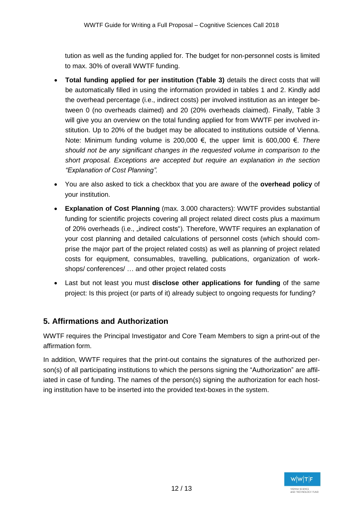tution as well as the funding applied for. The budget for non-personnel costs is limited to max. 30% of overall WWTF funding.

- **Total funding applied for per institution (Table 3)** details the direct costs that will be automatically filled in using the information provided in tables 1 and 2. Kindly add the overhead percentage (i.e., indirect costs) per involved institution as an integer between 0 (no overheads claimed) and 20 (20% overheads claimed). Finally, Table 3 will give you an overview on the total funding applied for from WWTF per involved institution. Up to 20% of the budget may be allocated to institutions outside of Vienna. Note: Minimum funding volume is 200,000 €, the upper limit is 600,000 €. *There should not be any significant changes in the requested volume in comparison to the short proposal. Exceptions are accepted but require an explanation in the section "Explanation of Cost Planning".*
- You are also asked to tick a checkbox that you are aware of the **overhead policy** of your institution.
- **Explanation of Cost Planning** (max. 3.000 characters): WWTF provides substantial funding for scientific projects covering all project related direct costs plus a maximum of 20% overheads (i.e., "indirect costs"). Therefore, WWTF requires an explanation of your cost planning and detailed calculations of personnel costs (which should comprise the major part of the project related costs) as well as planning of project related costs for equipment, consumables, travelling, publications, organization of workshops/ conferences/ … and other project related costs
- Last but not least you must **disclose other applications for funding** of the same project: Is this project (or parts of it) already subject to ongoing requests for funding?

## **5. Affirmations and Authorization**

WWTF requires the Principal Investigator and Core Team Members to sign a print-out of the affirmation form.

In addition, WWTF requires that the print-out contains the signatures of the authorized person(s) of all participating institutions to which the persons signing the "Authorization" are affiliated in case of funding. The names of the person(s) signing the authorization for each hosting institution have to be inserted into the provided text-boxes in the system.